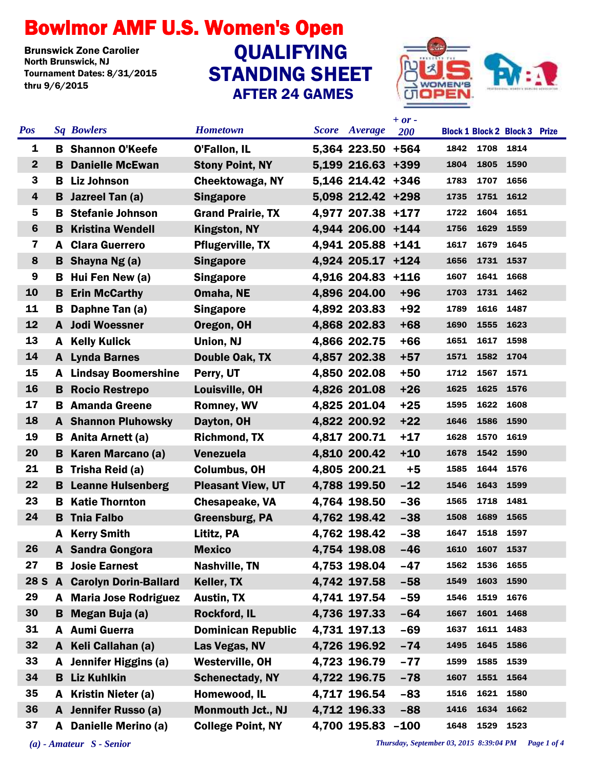## Bowlmor AMF U.S. Women's Open

**Brunswick Zone Carolier<br>North Brunswick, NJ** Tournament Dates: 8/31/2015 thru 9/6/2015

## STANDING SHEET AFTER 24 GAMES **QUALIFYING**



| <b>Pos</b>              |    | <b>Sq Bowlers</b>              | <b>Hometown</b>           | Score Average     | $+$ or $-$<br><b>200</b> |      |                | <b>Block 1 Block 2 Block 3 Prize</b> |  |
|-------------------------|----|--------------------------------|---------------------------|-------------------|--------------------------|------|----------------|--------------------------------------|--|
| 1                       |    | <b>B</b> Shannon O'Keefe       | <b>O'Fallon, IL</b>       | 5,364 223.50 +564 |                          | 1842 | 1708 1814      |                                      |  |
| $\boldsymbol{2}$        | B. | <b>Danielle McEwan</b>         | <b>Stony Point, NY</b>    | 5,199 216.63 +399 |                          | 1804 | 1805           | 1590                                 |  |
| 3                       | B. | <b>Liz Johnson</b>             | Cheektowaga, NY           | 5,146 214.42 +346 |                          | 1783 | 1707           | 1656                                 |  |
| 4                       | B  | Jazreel Tan (a)                | <b>Singapore</b>          | 5,098 212.42 +298 |                          | 1735 | 1751           | 1612                                 |  |
| 5                       | в  | <b>Stefanie Johnson</b>        | <b>Grand Prairie, TX</b>  | 4,977 207.38 +177 |                          | 1722 | 1604           | 1651                                 |  |
| $6\phantom{1}6$         | B  | <b>Kristina Wendell</b>        | <b>Kingston, NY</b>       | 4,944 206.00 +144 |                          | 1756 | 1629           | 1559                                 |  |
| $\overline{\mathbf{z}}$ | A  | <b>Clara Guerrero</b>          | <b>Pflugerville, TX</b>   | 4,941 205.88 +141 |                          | 1617 | 1679           | 1645                                 |  |
| 8                       |    | <b>B</b> Shayna Ng(a)          | <b>Singapore</b>          | 4,924 205.17 +124 |                          | 1656 | 1731 1537      |                                      |  |
| 9                       | B  | Hui Fen New (a)                | <b>Singapore</b>          | 4,916 204.83      | $+116$                   | 1607 | 1641           | 1668                                 |  |
| 10                      | B  | <b>Erin McCarthy</b>           | Omaha, NE                 | 4,896 204.00      | $+96$                    | 1703 | 1731 1462      |                                      |  |
| 11                      | B  | Daphne Tan (a)                 | <b>Singapore</b>          | 4,892 203.83      | $+92$                    | 1789 | 1616           | 1487                                 |  |
| 12                      |    | A Jodi Woessner                | Oregon, OH                | 4,868 202.83      | $+68$                    | 1690 | 1555           | 1623                                 |  |
| 13                      | A  | <b>Kelly Kulick</b>            | Union, NJ                 | 4,866 202.75      | $+66$                    | 1651 | 1617           | 1598                                 |  |
| 14                      |    | <b>A</b> Lynda Barnes          | Double Oak, TX            | 4,857 202.38      | $+57$                    | 1571 | 1582           | 1704                                 |  |
| 15                      |    | <b>A</b> Lindsay Boomershine   | Perry, UT                 | 4,850 202.08      | $+50$                    | 1712 | 1567           | 1571                                 |  |
| 16                      | B  | <b>Rocio Restrepo</b>          | Louisville, OH            | 4,826 201.08      | $+26$                    | 1625 | 1625           | 1576                                 |  |
| 17                      | в  | <b>Amanda Greene</b>           | <b>Romney, WV</b>         | 4,825 201.04      | $+25$                    | 1595 | 1622           | 1608                                 |  |
| 18                      |    | <b>A</b> Shannon Pluhowsky     | Dayton, OH                | 4,822 200.92      | $+22$                    | 1646 | 1586           | 1590                                 |  |
| 19                      | В  | Anita Arnett (a)               | <b>Richmond, TX</b>       | 4,817 200.71      | $+17$                    | 1628 | 1570           | 1619                                 |  |
| 20                      | B  | Karen Marcano (a)              | <b>Venezuela</b>          | 4,810 200.42      | $+10$                    | 1678 | 1542           | 1590                                 |  |
| 21                      | B. | Trisha Reid (a)                | <b>Columbus, OH</b>       | 4,805 200.21      | $+5$                     | 1585 | 1644           | 1576                                 |  |
| 22                      | B  | <b>Leanne Hulsenberg</b>       | <b>Pleasant View, UT</b>  | 4,788 199.50      | $-12$                    | 1546 | 1643           | 1599                                 |  |
| 23                      | B  | <b>Katie Thornton</b>          | <b>Chesapeake, VA</b>     | 4,764 198.50      | $-36$                    | 1565 | 1718           | 1481                                 |  |
| 24                      | B  | <b>Tnia Falbo</b>              | <b>Greensburg, PA</b>     | 4,762 198.42      | $-38$                    | 1508 | 1689           | 1565                                 |  |
|                         | A  | <b>Kerry Smith</b>             | Lititz, PA                | 4,762 198.42      | $-38$                    | 1647 | 1518           | 1597                                 |  |
| 26                      |    | A Sandra Gongora               | <b>Mexico</b>             | 4,754 198.08      | $-46$                    |      | 1610 1607 1537 |                                      |  |
| 27                      | В  | <b>Josie Earnest</b>           | <b>Nashville, TN</b>      | 4,753 198.04      | -47                      | 1562 | 1536           | 1655                                 |  |
| <b>28 S</b>             |    | <b>A</b> Carolyn Dorin-Ballard | Keller, TX                | 4,742 197.58      | $-58$                    | 1549 | 1603 1590      |                                      |  |
| 29                      | A  | <b>Maria Jose Rodriguez</b>    | <b>Austin, TX</b>         | 4,741 197.54      | $-59$                    | 1546 | 1519           | 1676                                 |  |
| 30                      | B. | Megan Buja (a)                 | <b>Rockford, IL</b>       | 4,736 197.33      | $-64$                    | 1667 | 1601 1468      |                                      |  |
| 31                      | A  | <b>Aumi Guerra</b>             | <b>Dominican Republic</b> | 4,731 197.13      | $-69$                    | 1637 | 1611           | 1483                                 |  |
| 32                      | A  | Keli Callahan (a)              | Las Vegas, NV             | 4,726 196.92      | $-74$                    | 1495 | 1645           | 1586                                 |  |
| 33                      | A  | Jennifer Higgins (a)           | <b>Westerville, OH</b>    | 4,723 196.79      | $-77$                    | 1599 | 1585           | 1539                                 |  |
| 34                      | B  | Liz Kuhlkin                    | <b>Schenectady, NY</b>    | 4,722 196.75      | $-78$                    | 1607 | 1551           | 1564                                 |  |
| 35                      | A  | Kristin Nieter (a)             | Homewood, IL              | 4,717 196.54      | $-83$                    | 1516 | 1621           | 1580                                 |  |
| 36                      |    | A Jennifer Russo (a)           | <b>Monmouth Jct., NJ</b>  | 4,712 196.33      | $-88$                    | 1416 | 1634           | 1662                                 |  |
| 37                      |    | A Danielle Merino (a)          | <b>College Point, NY</b>  | 4,700 195.83      | $-100$                   | 1648 | 1529           | 1523                                 |  |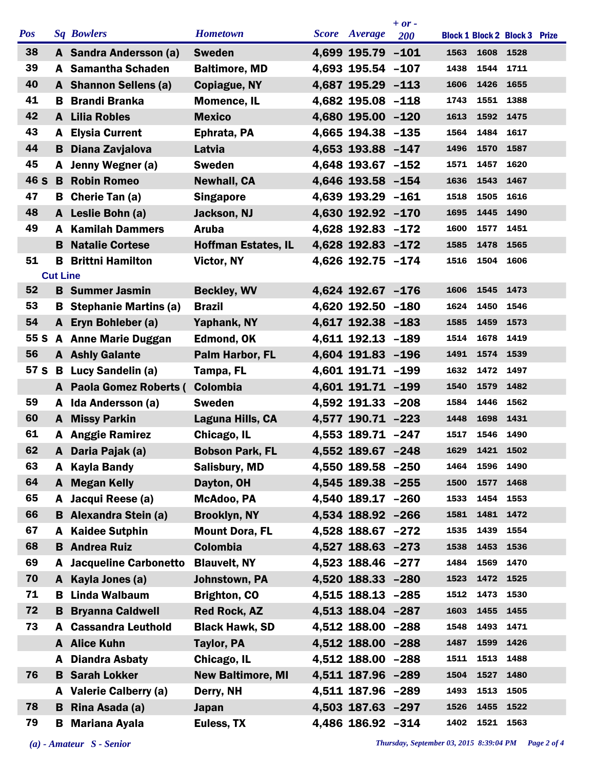|            |                 |                              |                            |                      | $+ or -$   |      |           |                                      |  |
|------------|-----------------|------------------------------|----------------------------|----------------------|------------|------|-----------|--------------------------------------|--|
| <b>Pos</b> |                 | <b>Sq Bowlers</b>            | <b>Hometown</b>            | <b>Score</b> Average | <b>200</b> |      |           | <b>Block 1 Block 2 Block 3 Prize</b> |  |
| 38         |                 | A Sandra Andersson (a)       | <b>Sweden</b>              | 4,699 195.79 -101    |            | 1563 | 1608 1528 |                                      |  |
| 39         | A               | <b>Samantha Schaden</b>      | <b>Baltimore, MD</b>       | 4,693 195.54 -107    |            | 1438 | 1544      | 1711                                 |  |
| 40         |                 | A Shannon Sellens (a)        | <b>Copiague, NY</b>        | 4,687 195.29 -113    |            | 1606 | 1426 1655 |                                      |  |
| 41         | в               | <b>Brandi Branka</b>         | <b>Momence, IL</b>         | 4,682 195.08 -118    |            | 1743 | 1551      | 1388                                 |  |
| 42         | A               | <b>Lilia Robles</b>          | <b>Mexico</b>              | 4,680 195.00 -120    |            | 1613 | 1592 1475 |                                      |  |
| 43         | A               | <b>Elysia Current</b>        | Ephrata, PA                | 4,665 194.38 -135    |            | 1564 | 1484      | 1617                                 |  |
| 44         |                 | <b>B</b> Diana Zavjalova     | Latvia                     | 4,653 193.88 -147    |            | 1496 | 1570 1587 |                                      |  |
| 45         |                 | A Jenny Wegner (a)           | <b>Sweden</b>              | 4,648 193.67 -152    |            | 1571 | 1457      | 1620                                 |  |
| 46 S       | B               | <b>Robin Romeo</b>           | <b>Newhall, CA</b>         | 4,646 193.58 -154    |            | 1636 | 1543      | 1467                                 |  |
| 47         |                 | <b>B</b> Cherie Tan (a)      | <b>Singapore</b>           | 4,639 193.29 -161    |            | 1518 | 1505      | 1616                                 |  |
| 48         |                 | A Leslie Bohn (a)            | Jackson, NJ                | 4,630 192.92 -170    |            | 1695 | 1445 1490 |                                      |  |
| 49         | A               | <b>Kamilah Dammers</b>       | <b>Aruba</b>               | 4,628 192.83 -172    |            | 1600 | 1577      | 1451                                 |  |
|            | в               | <b>Natalie Cortese</b>       | <b>Hoffman Estates, IL</b> | 4,628 192.83 -172    |            | 1585 | 1478 1565 |                                      |  |
| 51         | B               | <b>Brittni Hamilton</b>      | Victor, NY                 | 4,626 192.75 -174    |            | 1516 | 1504      | 1606                                 |  |
|            | <b>Cut Line</b> |                              |                            |                      |            |      |           |                                      |  |
| 52         |                 | <b>B</b> Summer Jasmin       | <b>Beckley, WV</b>         | 4,624 192.67 -176    |            | 1606 | 1545      | 1473                                 |  |
| 53         | В               | <b>Stephanie Martins (a)</b> | <b>Brazil</b>              | 4,620 192.50 -180    |            | 1624 | 1450      | 1546                                 |  |
| 54         |                 | A Eryn Bohleber (a)          | Yaphank, NY                | 4,617 192.38 -183    |            | 1585 | 1459      | 1573                                 |  |
| 55 S       |                 | <b>A</b> Anne Marie Duggan   | Edmond, OK                 | 4,611 192.13 -189    |            | 1514 | 1678 1419 |                                      |  |
| 56         |                 | <b>A</b> Ashly Galante       | Palm Harbor, FL            | 4,604 191.83 -196    |            | 1491 | 1574      | 1539                                 |  |
| 57 S       |                 | <b>B</b> Lucy Sandelin (a)   | Tampa, FL                  | 4,601 191.71 -199    |            | 1632 | 1472 1497 |                                      |  |
|            |                 | A Paola Gomez Roberts (      | <b>Colombia</b>            | 4,601 191.71 -199    |            | 1540 | 1579      | 1482                                 |  |
| 59         | A               | Ida Andersson (a)            | <b>Sweden</b>              | 4.592 191.33 -208    |            | 1584 | 1446      | 1562                                 |  |
| 60         | A               | <b>Missy Parkin</b>          | Laguna Hills, CA           | 4,577 190.71 -223    |            | 1448 | 1698      | 1431                                 |  |
| 61         | A               | <b>Anggie Ramirez</b>        | Chicago, IL                | 4,553 189.71 -247    |            | 1517 | 1546      | 1490                                 |  |
| 62         | A               | Daria Pajak (a)              | <b>Bobson Park, FL</b>     | 4,552 189.67 -248    |            | 1629 | 1421      | 1502                                 |  |
| 63         | A               | <b>Kayla Bandy</b>           | <b>Salisbury, MD</b>       | 4,550 189.58 -250    |            | 1464 | 1596 1490 |                                      |  |
| 64         | A               | <b>Megan Kelly</b>           | Dayton, OH                 | 4,545 189.38 -255    |            | 1500 | 1577 1468 |                                      |  |
| 65         | A               | Jacqui Reese (a)             | McAdoo, PA                 | 4,540 189.17 -260    |            | 1533 | 1454 1553 |                                      |  |
| 66         |                 | <b>B</b> Alexandra Stein (a) | <b>Brooklyn, NY</b>        | 4,534 188.92 -266    |            | 1581 | 1481 1472 |                                      |  |
| 67         | A               | <b>Kaidee Sutphin</b>        | <b>Mount Dora, FL</b>      | 4,528 188.67 -272    |            | 1535 | 1439 1554 |                                      |  |
| 68         | B               | <b>Andrea Ruiz</b>           | <b>Colombia</b>            | 4,527 188.63 -273    |            | 1538 | 1453      | 1536                                 |  |
| 69         | A               | <b>Jacqueline Carbonetto</b> | <b>Blauvelt, NY</b>        | 4,523 188.46 -277    |            | 1484 | 1569      | 1470                                 |  |
| 70         | A               | Kayla Jones (a)              | Johnstown, PA              | 4,520 188.33 -280    |            | 1523 | 1472 1525 |                                      |  |
| 71         | в               | Linda Walbaum                | <b>Brighton, CO</b>        | 4,515 188.13 -285    |            | 1512 | 1473 1530 |                                      |  |
| 72         | В               | <b>Bryanna Caldwell</b>      | <b>Red Rock, AZ</b>        | 4,513 188.04 -287    |            | 1603 | 1455 1455 |                                      |  |
| 73         | A               | <b>Cassandra Leuthold</b>    | <b>Black Hawk, SD</b>      | 4,512 188.00 -288    |            | 1548 | 1493 1471 |                                      |  |
|            |                 | A Alice Kuhn                 | <b>Taylor, PA</b>          | 4,512 188.00 -288    |            | 1487 | 1599      | 1426                                 |  |
|            | A               | <b>Diandra Asbaty</b>        | Chicago, IL                | 4,512 188.00 -288    |            | 1511 | 1513 1488 |                                      |  |
| 76         |                 | <b>B</b> Sarah Lokker        | <b>New Baltimore, MI</b>   | 4,511 187.96 -289    |            | 1504 | 1527      | 1480                                 |  |
|            | A               | <b>Valerie Calberry (a)</b>  | Derry, NH                  | 4,511 187.96 -289    |            | 1493 | 1513      | 1505                                 |  |
| 78         | B.              | Rina Asada (a)               | <b>Japan</b>               | 4,503 187.63 -297    |            | 1526 | 1455 1522 |                                      |  |
| 79         | B               | <b>Mariana Ayala</b>         | Euless, TX                 | 4,486 186.92 -314    |            | 1402 | 1521 1563 |                                      |  |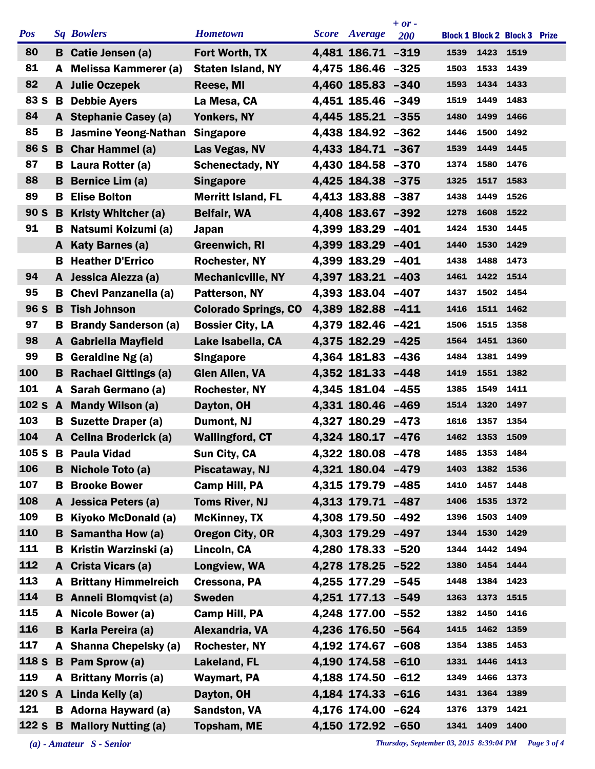|            |    |                               |                             |                      | $+ or -$   |      |           |                                      |  |
|------------|----|-------------------------------|-----------------------------|----------------------|------------|------|-----------|--------------------------------------|--|
| <b>Pos</b> |    | <b>Sq Bowlers</b>             | <b>Hometown</b>             | <b>Score</b> Average | <b>200</b> |      |           | <b>Block 1 Block 2 Block 3 Prize</b> |  |
| 80         | B  | Catie Jensen (a)              | Fort Worth, TX              | 4,481 186.71 -319    |            | 1539 | 1423 1519 |                                      |  |
| 81         | A  | <b>Melissa Kammerer (a)</b>   | <b>Staten Island, NY</b>    | 4,475 186.46 -325    |            | 1503 | 1533      | 1439                                 |  |
| 82         |    | A Julie Oczepek               | Reese, MI                   | 4,460 185.83 -340    |            | 1593 | 1434 1433 |                                      |  |
| 83 S       | B  | <b>Debbie Ayers</b>           | La Mesa, CA                 | 4,451 185.46 -349    |            | 1519 | 1449      | 1483                                 |  |
| 84         |    | A Stephanie Casey (a)         | Yonkers, NY                 | 4,445 185.21 -355    |            | 1480 | 1499      | 1466                                 |  |
| 85         | В  | <b>Jasmine Yeong-Nathan</b>   | <b>Singapore</b>            | 4,438 184.92 -362    |            | 1446 | 1500      | 1492                                 |  |
| 86 S       |    | <b>B</b> Char Hammel (a)      | Las Vegas, NV               | 4,433 184.71 -367    |            | 1539 | 1449      | 1445                                 |  |
| 87         |    | <b>B</b> Laura Rotter (a)     | <b>Schenectady, NY</b>      | 4,430 184.58 -370    |            | 1374 | 1580      | 1476                                 |  |
| 88         | в  | Bernice Lim (a)               | <b>Singapore</b>            | 4,425 184.38 -375    |            | 1325 | 1517      | 1583                                 |  |
| 89         | В  | <b>Elise Bolton</b>           | <b>Merritt Island, FL</b>   | 4,413 183.88 -387    |            | 1438 | 1449      | 1526                                 |  |
| 90 S       | B  | <b>Kristy Whitcher (a)</b>    | <b>Belfair, WA</b>          | 4,408 183.67 -392    |            | 1278 | 1608      | 1522                                 |  |
| 91         | в  | Natsumi Koizumi (a)           | Japan                       | 4,399 183.29         | $-401$     | 1424 | 1530      | 1445                                 |  |
|            | A  | Katy Barnes (a)               | <b>Greenwich, RI</b>        | 4,399 183.29 -401    |            | 1440 | 1530      | 1429                                 |  |
|            | в  | <b>Heather D'Errico</b>       | <b>Rochester, NY</b>        | 4,399 183.29 -401    |            | 1438 | 1488      | 1473                                 |  |
| 94         | A  | Jessica Aiezza (a)            | <b>Mechanicville, NY</b>    | 4,397 183.21 -403    |            | 1461 | 1422 1514 |                                      |  |
| 95         | В  | <b>Chevi Panzanella (a)</b>   | Patterson, NY               | 4,393 183.04         | $-407$     | 1437 | 1502      | 1454                                 |  |
| 96 S       | B  | <b>Tish Johnson</b>           | <b>Colorado Springs, CO</b> | 4,389 182.88 -411    |            | 1416 | 1511 1462 |                                      |  |
| 97         | B. | <b>Brandy Sanderson (a)</b>   | <b>Bossier City, LA</b>     | 4,379 182.46 -421    |            | 1506 | 1515      | 1358                                 |  |
| 98         | A  | <b>Gabriella Mayfield</b>     | Lake Isabella, CA           | 4,375 182.29         | $-425$     | 1564 | 1451      | 1360                                 |  |
| 99         | В  | Geraldine Ng (a)              | <b>Singapore</b>            | 4,364 181.83         | $-436$     | 1484 | 1381      | 1499                                 |  |
| 100        | в  | <b>Rachael Gittings (a)</b>   | <b>Glen Allen, VA</b>       | 4,352 181.33 -448    |            | 1419 | 1551 1382 |                                      |  |
| 101        | A  | Sarah Germano (a)             | <b>Rochester, NY</b>        | 4,345 181.04 -455    |            | 1385 | 1549      | 1411                                 |  |
| 102 S A    |    | <b>Mandy Wilson (a)</b>       | Dayton, OH                  | 4,331 180.46 -469    |            | 1514 | 1320      | 1497                                 |  |
| 103        | В  | <b>Suzette Draper (a)</b>     | Dumont, NJ                  | 4,327 180.29         | $-473$     | 1616 | 1357      | 1354                                 |  |
| 104        | A  | <b>Celina Broderick (a)</b>   | <b>Wallingford, CT</b>      | 4,324 180.17 -476    |            | 1462 | 1353      | 1509                                 |  |
| 105 S      | B  | <b>Paula Vidad</b>            | Sun City, CA                | 4,322 180.08 -478    |            | 1485 | 1353      | 1484                                 |  |
| 106        | B  | Nichole Toto (a)              | Piscataway, NJ              | 4,321 180.04 -479    |            | 1403 | 1382 1536 |                                      |  |
| 107        | в  | <b>Brooke Bower</b>           | <b>Camp Hill, PA</b>        | 4,315 179.79 -485    |            | 1410 | 1457      | 1448                                 |  |
| 108        | A  | <b>Jessica Peters (a)</b>     | <b>Toms River, NJ</b>       | 4,313 179.71 -487    |            | 1406 | 1535      | 1372                                 |  |
| 109        | В  | Kiyoko McDonald (a)           | <b>McKinney, TX</b>         | 4,308 179.50 -492    |            | 1396 | 1503      | 1409                                 |  |
| 110        | B  | <b>Samantha How (a)</b>       | <b>Oregon City, OR</b>      | 4,303 179.29 -497    |            | 1344 | 1530 1429 |                                      |  |
| 111        | В  | Kristin Warzinski (a)         | Lincoln, CA                 | 4,280 178.33 -520    |            | 1344 | 1442      | 1494                                 |  |
| 112        | A  | Crista Vicars (a)             | Longview, WA                | 4,278 178.25 -522    |            | 1380 | 1454 1444 |                                      |  |
| 113        | A  | <b>Brittany Himmelreich</b>   | Cressona, PA                | 4,255 177.29 -545    |            | 1448 | 1384      | 1423                                 |  |
| 114        |    | <b>B</b> Anneli Blomqvist (a) | <b>Sweden</b>               | 4,251 177.13 -549    |            | 1363 | 1373 1515 |                                      |  |
| 115        |    | Nicole Bower (a)              | <b>Camp Hill, PA</b>        | 4,248 177.00 -552    |            | 1382 | 1450      | 1416                                 |  |
| 116        | в  | Karla Pereira (a)             | Alexandria, VA              | 4,236 176.50 -564    |            | 1415 | 1462      | 1359                                 |  |
| 117        | A  | <b>Shanna Chepelsky (a)</b>   | Rochester, NY               | 4,192 174.67 -608    |            | 1354 | 1385      | 1453                                 |  |
| 118 S      | B  | Pam Sprow (a)                 | Lakeland, FL                | 4,190 174.58 -610    |            | 1331 | 1446 1413 |                                      |  |
| 119        |    | <b>A</b> Brittany Morris (a)  | <b>Waymart, PA</b>          | 4,188 174.50         | $-612$     | 1349 | 1466      | 1373                                 |  |
| 120S       |    | A Linda Kelly (a)             | Dayton, OH                  | 4,184 174.33 -616    |            | 1431 | 1364      | 1389                                 |  |
| 121        |    | <b>B</b> Adorna Hayward (a)   | <b>Sandston, VA</b>         | 4,176 174.00 -624    |            | 1376 | 1379      | 1421                                 |  |
| 122S       |    | <b>B</b> Mallory Nutting (a)  | <b>Topsham, ME</b>          | 4,150 172.92 -650    |            | 1341 | 1409      | 1400                                 |  |